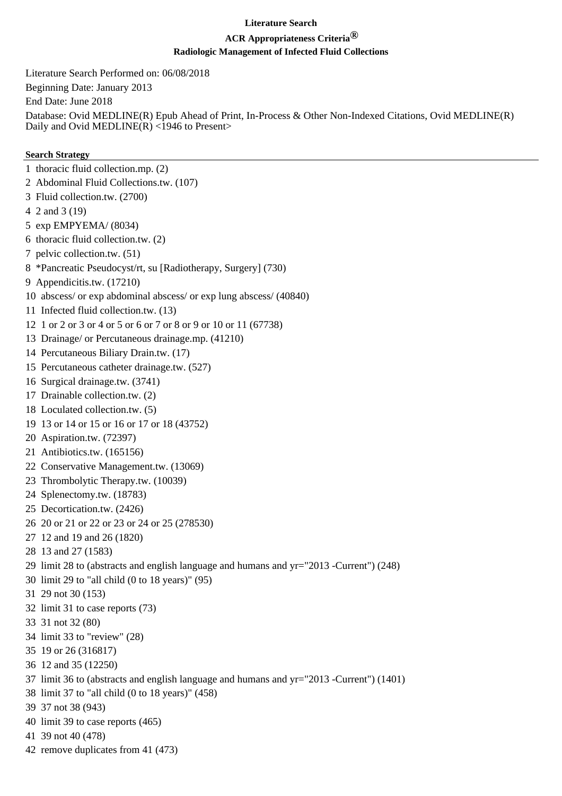# **Literature Search**

# **ACR Appropriateness Criteria®**

# **Radiologic Management of Infected Fluid Collections**

Literature Search Performed on: 06/08/2018

Beginning Date: January 2013

End Date: June 2018

Database: Ovid MEDLINE(R) Epub Ahead of Print, In-Process & Other Non-Indexed Citations, Ovid MEDLINE(R) Daily and Ovid MEDLINE(R) <1946 to Present>

#### **Search Strategy**

- 1 thoracic fluid collection.mp. (2)
- 2 Abdominal Fluid Collections.tw. (107)
- 3 Fluid collection.tw. (2700)
- 4 2 and 3 (19)
- 5 exp EMPYEMA/ (8034)
- 6 thoracic fluid collection.tw. (2)
- 7 pelvic collection.tw. (51)
- 8 \*Pancreatic Pseudocyst/rt, su [Radiotherapy, Surgery] (730)
- 9 Appendicitis.tw. (17210)
- 10 abscess/ or exp abdominal abscess/ or exp lung abscess/ (40840)
- 11 Infected fluid collection.tw. (13)
- 12 1 or 2 or 3 or 4 or 5 or 6 or 7 or 8 or 9 or 10 or 11 (67738)
- 13 Drainage/ or Percutaneous drainage.mp. (41210)
- 14 Percutaneous Biliary Drain.tw. (17)
- 15 Percutaneous catheter drainage.tw. (527)
- 16 Surgical drainage.tw. (3741)
- 17 Drainable collection.tw. (2)
- 18 Loculated collection.tw. (5)
- 19 13 or 14 or 15 or 16 or 17 or 18 (43752)
- 20 Aspiration.tw. (72397)
- 21 Antibiotics.tw. (165156)
- 22 Conservative Management.tw. (13069)
- 23 Thrombolytic Therapy.tw. (10039)
- 24 Splenectomy.tw. (18783)
- 25 Decortication.tw. (2426)
- 26 20 or 21 or 22 or 23 or 24 or 25 (278530)
- 27 12 and 19 and 26 (1820)
- 28 13 and 27 (1583)
- 29 limit 28 to (abstracts and english language and humans and yr="2013 -Current") (248)
- 30 limit 29 to "all child (0 to 18 years)" (95)
- 31 29 not 30 (153)
- 32 limit 31 to case reports (73)
- 33 31 not 32 (80)
- 34 limit 33 to "review" (28)
- 35 19 or 26 (316817)
- 36 12 and 35 (12250)
- 37 limit 36 to (abstracts and english language and humans and yr="2013 -Current") (1401)
- 38 limit 37 to "all child (0 to 18 years)" (458)
- 39 37 not 38 (943)
- 40 limit 39 to case reports (465)
- 41 39 not 40 (478)
- 42 remove duplicates from 41 (473)